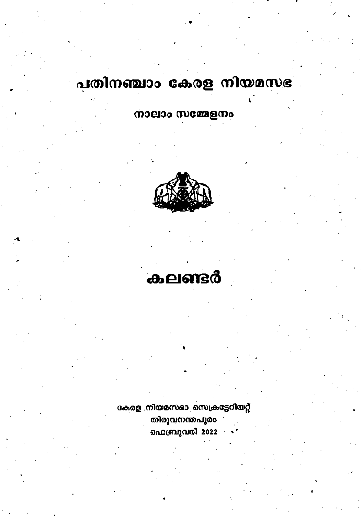# പതിനഞ്ചാം കേരള നിയമസഭ

നാലാം സമ്മേളനം



കലണ്ടർ

കേരള നിയമസഭാ സെക്രട്ടേറിയറ്റ് തിരുവനന്തപുരം ഫെബ്രുവരി 2022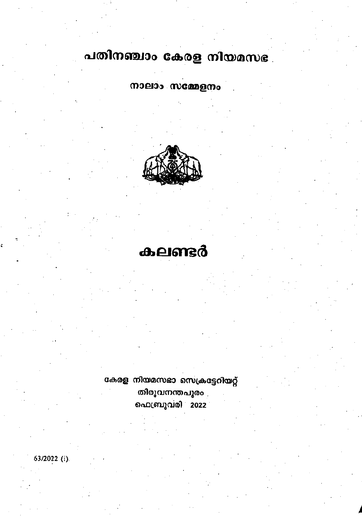# പതിനഞ്ചാം കേരള നിയമസഭ

നാലാം സമ്മേളനം



# കലണ്ടർ

കേരള നിയമസഭാ സെക്രട്ടേറിയറ്റ് തിരുവനന്തപുരം ഫെബ്രുവരി 2022

63/2022 (i).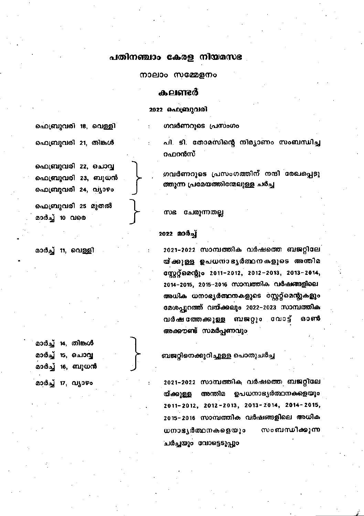## പതിനഞ്ചാം കേരള നിയമസഭ

നാലാം സമ്മേളനം

### കലണ്ടർ

2022 ഫെബ്രുവരി

 $\ddot{\phantom{0}}$ 

ഗവർണറുടെ പ്രസംഗം

പി. ടി. തോമസിന്റെ നിമ്യാണം സംബന്ധിച്ച റഫറൻസ്

ഗവർണറുടെ പ്രസംഗത്തിന് നന്ദി രേഖപ്പെടു ത്തുന്ന പ്രമേയത്തിന്മേലുള്ള ചർച്ച

സഭ ചേരുന്നതല്ല

### 2022 மாத்து

2021–2022 സാമ്പത്തിക വർഷത്തെ ബജറ്റിലേ യ്ക്കുള്ള ഉപധനാഭ്യർത്ഥനകളുടെ അന്തിമ στιχό ο 2011-2012, 2012-2013, 2013-2014, 2014–2015, 2015–2016 സാമ്പത്തിക വർഷങ്ങളിലെ അധിക ധനാഭ്യർത്ഥനകളുടെ സ്റ്റേറ്റ്മെന്റുകളും മേശപ്പുറത്ത് വയ്ക്കലും 2022–2023 സാമ്പത്തിക വർഷത്തേക്കുള്ള ബജറ്റും വോട്ട് ឆ១តាចិ അക്കൗണ്ട് സമർപ്പണവും

ബജറ്റിനെക്കുറിച്ചുള്ള പൊതുചർച്ച

2021–2022 സാമ്പത്തിക വർഷത്തെ ബജറ്റിലേ യ്ക്കുള്ള അന്തിമ ഉപധനാഭ്യർത്ഥനകളെയും 2011-2012, 2012-2013, 2013-2014, 2014-2015, 2015-2016 സാമ്പത്തിക വർഷങ്ങളിലെ അധിക ധനാഭ്യർത്ഥനകളെയും സംബന്ധിക്കുന്ന ചർച്ചയും വോട്ടെടുപ്പും

ഫെബ്രുവരി 18, വെള്ളി

ഫെബ്രുവരി 21, തിങ്കൾ

ഫെബ്രുവരി 22, ചൊവ്വ ഫെബ്രുവരി 23, ബുധൻ ഫെബ്രുവരി 24, വ്യാഴം

ഫെബ്രുവരി 25 മുതൽ മാർച്ച് 10 വരെ

മാർച്ച് 11, വെള്ളി

|  | മാർച്ച് 14, തിങ്കൾ |
|--|--------------------|
|  | മാർച്ച് 15, ചൊവ്വ  |
|  | മാർച്ച് 16, ബുധൻ   |
|  | മാർച് 17. വ്യാഴം   |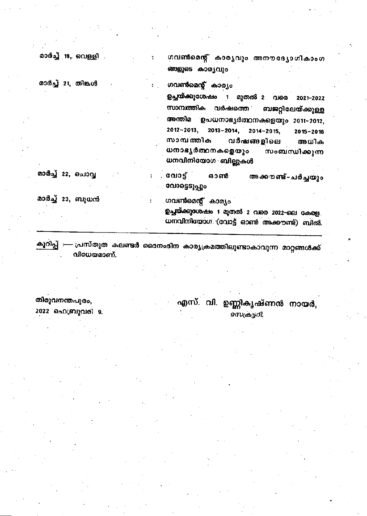മാർച്ച് 18, വെള്ളി

മാർച്ച് 21, തിങ്കൾ

ഗവൺമെന്റ് കാര്യവും അനൗദ്യോഗികാംഗ ങ്ങളുടെ കാര്യവും

ഗവൺമെന്റ് കാര്യം

ഗവൺമെന്റ് കാര്യം

ഉച്ചയ്ക്കുശേഷം 1 മുതൽ 2 വരെ 2021–2022 സാമ്പത്തിക വർഷത്തെ ബജറ്റിലേയ്ക്കുള്ള അന്തിമ ഉപധനാഭൃർത്ഥനകളെയും 2011-2012, 2012-2013.  $2013 - 2014$ ,  $2014 - 2015$ , 2015-2016 സാമ്പത്തിക വർഷങ്ങളിലെ അധിക ധനാഭ്യർത്ഥനകളെയും സംബന്ധിക്കുന്ന ധനവിനിയോഗ ബില്ലുകൾ

മാർച്ച് 22, ചൊവ്വ

. വോട് അക്കൗണ്ട്-ചർച്ചയും ഓൺ സോട്ടെടുപ്പും

മാർച്ച് 23, ബുധൻ

ഉച്ചുയ്ക്കുശേഷം 1 മുതൽ 2 വരെ 2022-ലെ കേരള. ധനവിനിയോഗ (വോട്ട് ഓൺ അക്കൗണ്ട്) ബിൽ.

കൂറിപ്പ് :— പ്രസ്തുത കലണ്ടർ ദൈനംദിന കാര്യക്രമത്തിലുണ്ടാകാവുന്ന മാറ്റങ്ങൾക്ക് വിധേയമാണ്.

തിരുവനന്തപുരം, 2022 ഫെബ്രുവരി 9.

എസ്. വി. ഉണ്ണികൃഷ്ണൻ നായർ. സെകട്ടറി.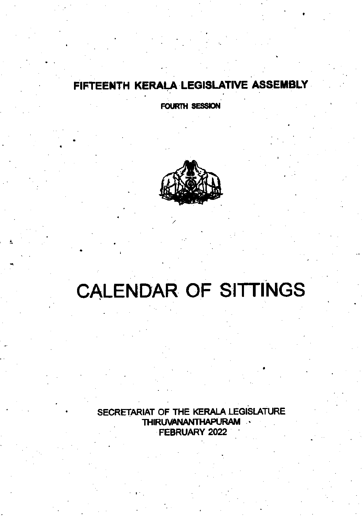## FIFTEENTH KERALA LEGISLATIVE ASSEMBLY

FOURTH SESSION



# **CALENDAR OF SITTINGS**

SECRETARIAT OF THE KERALA LEGISLATURE THIRUVANANTHAPURAM FEBRUARY 2022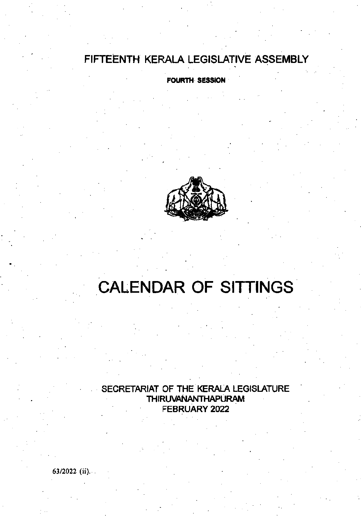## FIFTEENTH KERALA LEGISLATIVE ASSEMBLY

FOURTH SESSION



# CALENDAR OF SITTINGS

SECRETARIAT OF THE KERALA LEGISLATURE **THIRUVANANTHAPURAM** FEBRUARY 2022

63t2022 (ii).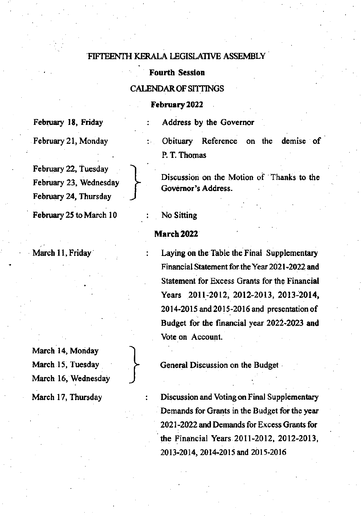## FIFTEENTH KERALA LEGISLATIVE ASSEMBLY

# **Example Fourth Session**<br>CALENDAR OF SITTINGS

### February 2022

February 18, Friday : Address by the Governor

February 22, Tuesday ) February 23, Wednesday February 24, Thursday )

February 25 to March 10 : No Sitting

March 14, Monday March 16, Wednesday

I

February 21, Monday : Obituary Reference on the demise of , P. T. Thomas

Discussion on the Motion of Thanks to the Governor's Address.

## March 2022

March 11, Friday : Laying on the Table the Final Supplementary Financial Statement for the Year 2021-2022 and Statement for Excess Grants for the Financial Years 2011-2012, 2012-2013, 2013-2014, 2014-2015 and 2015-2016 and presentation of Budget for the financial year 2022-2023 and Vote on Account.

March 15, Tuesday  $\rightarrow$  General Discussion on the Budget

March 17, Thursday : Discussion and Voting on Final Supplementary Demands for Grants in the Budget for the year 2021-2022 and Demands for Excess Grants for the Financial Years 20ll-2012, 2012-2013, 2013-2014, 2014-2015 and 2015-2016